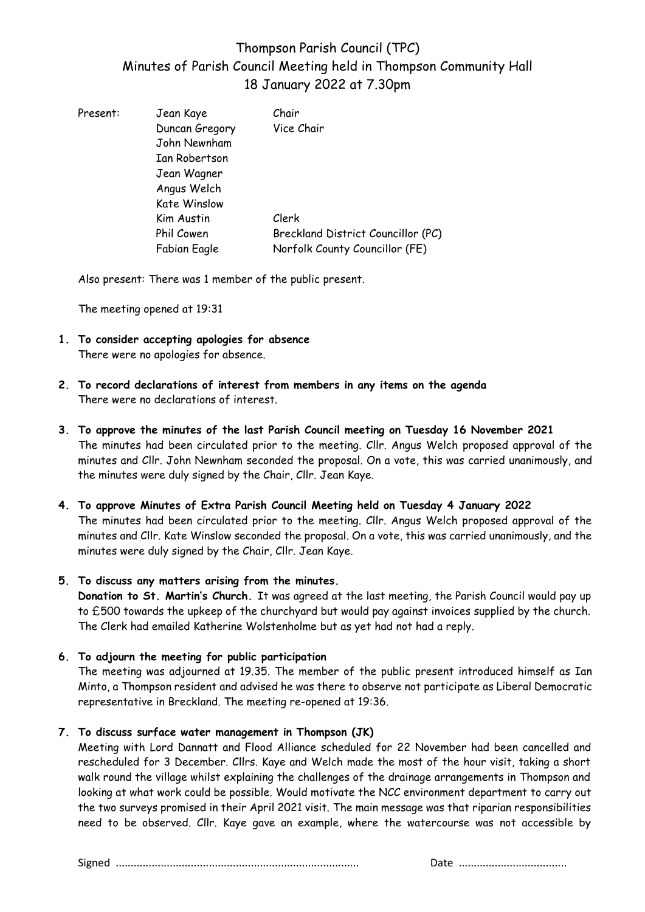# Thompson Parish Council (TPC) Minutes of Parish Council Meeting held in Thompson Community Hall 18 January 2022 at 7.30pm

| Present: | Jean Kaye           | Chair                              |
|----------|---------------------|------------------------------------|
|          | Duncan Gregory      | Vice Chair                         |
|          | John Newnham        |                                    |
|          | Ian Robertson       |                                    |
|          | Jean Wagner         |                                    |
|          | Angus Welch         |                                    |
|          | <b>Kate Winslow</b> |                                    |
|          | Kim Austin          | Clerk                              |
|          | Phil Cowen          | Breckland District Councillor (PC) |
|          | Fabian Eagle        | Norfolk County Councillor (FE)     |
|          |                     |                                    |

Also present: There was 1 member of the public present.

The meeting opened at 19:31

- **1. To consider accepting apologies for absence** There were no apologies for absence.
- **2. To record declarations of interest from members in any items on the agenda** There were no declarations of interest.
- **3. To approve the minutes of the last Parish Council meeting on Tuesday 16 November 2021** The minutes had been circulated prior to the meeting. Cllr. Angus Welch proposed approval of the minutes and Cllr. John Newnham seconded the proposal. On a vote, this was carried unanimously, and the minutes were duly signed by the Chair, Cllr. Jean Kaye.
- **4. To approve Minutes of Extra Parish Council Meeting held on Tuesday 4 January 2022** The minutes had been circulated prior to the meeting. Cllr. Angus Welch proposed approval of the minutes and Cllr. Kate Winslow seconded the proposal. On a vote, this was carried unanimously, and the minutes were duly signed by the Chair, Cllr. Jean Kaye.
- **5. To discuss any matters arising from the minutes.**

**Donation to St. Martin's Church.** It was agreed at the last meeting, the Parish Council would pay up to £500 towards the upkeep of the churchyard but would pay against invoices supplied by the church. The Clerk had emailed Katherine Wolstenholme but as yet had not had a reply.

**6. To adjourn the meeting for public participation** 

The meeting was adjourned at 19.35. The member of the public present introduced himself as Ian Minto, a Thompson resident and advised he was there to observe not participate as Liberal Democratic representative in Breckland. The meeting re-opened at 19:36.

**7. To discuss surface water management in Thompson (JK)**

Meeting with Lord Dannatt and Flood Alliance scheduled for 22 November had been cancelled and rescheduled for 3 December. Cllrs. Kaye and Welch made the most of the hour visit, taking a short walk round the village whilst explaining the challenges of the drainage arrangements in Thompson and looking at what work could be possible. Would motivate the NCC environment department to carry out the two surveys promised in their April 2021 visit. The main message was that riparian responsibilities need to be observed. Cllr. Kaye gave an example, where the watercourse was not accessible by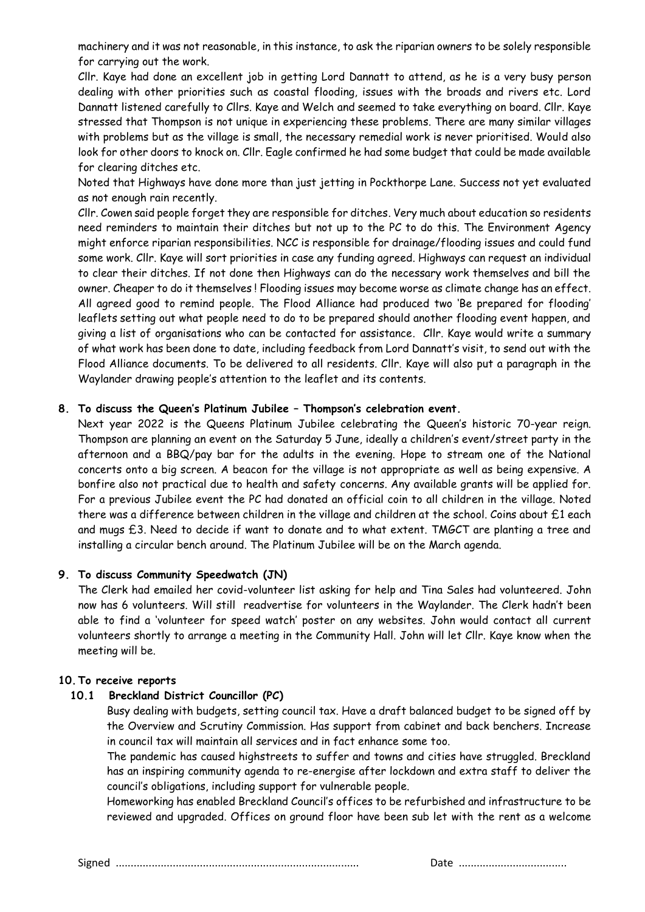machinery and it was not reasonable, in this instance, to ask the riparian owners to be solely responsible for carrying out the work.

Cllr. Kaye had done an excellent job in getting Lord Dannatt to attend, as he is a very busy person dealing with other priorities such as coastal flooding, issues with the broads and rivers etc. Lord Dannatt listened carefully to Cllrs. Kaye and Welch and seemed to take everything on board. Cllr. Kaye stressed that Thompson is not unique in experiencing these problems. There are many similar villages with problems but as the village is small, the necessary remedial work is never prioritised. Would also look for other doors to knock on. Cllr. Eagle confirmed he had some budget that could be made available for clearing ditches etc.

Noted that Highways have done more than just jetting in Pockthorpe Lane. Success not yet evaluated as not enough rain recently.

Cllr. Cowen said people forget they are responsible for ditches. Very much about education so residents need reminders to maintain their ditches but not up to the PC to do this. The Environment Agency might enforce riparian responsibilities. NCC is responsible for drainage/flooding issues and could fund some work. Cllr. Kaye will sort priorities in case any funding agreed. Highways can request an individual to clear their ditches. If not done then Highways can do the necessary work themselves and bill the owner. Cheaper to do it themselves ! Flooding issues may become worse as climate change has an effect. All agreed good to remind people. The Flood Alliance had produced two 'Be prepared for flooding' leaflets setting out what people need to do to be prepared should another flooding event happen, and giving a list of organisations who can be contacted for assistance. Cllr. Kaye would write a summary of what work has been done to date, including feedback from Lord Dannatt's visit, to send out with the Flood Alliance documents. To be delivered to all residents. Cllr. Kaye will also put a paragraph in the Waylander drawing people's attention to the leaflet and its contents.

#### **8. To discuss the Queen's Platinum Jubilee – Thompson's celebration event.**

Next year 2022 is the Queens Platinum Jubilee celebrating the Queen's historic 70-year reign. Thompson are planning an event on the Saturday 5 June, ideally a children's event/street party in the afternoon and a BBQ/pay bar for the adults in the evening. Hope to stream one of the National concerts onto a big screen. A beacon for the village is not appropriate as well as being expensive. A bonfire also not practical due to health and safety concerns. Any available grants will be applied for. For a previous Jubilee event the PC had donated an official coin to all children in the village. Noted there was a difference between children in the village and children at the school. Coins about £1 each and mugs £3. Need to decide if want to donate and to what extent. TMGCT are planting a tree and installing a circular bench around. The Platinum Jubilee will be on the March agenda.

#### **9. To discuss Community Speedwatch (JN)**

The Clerk had emailed her covid-volunteer list asking for help and Tina Sales had volunteered. John now has 6 volunteers. Will still readvertise for volunteers in the Waylander. The Clerk hadn't been able to find a 'volunteer for speed watch' poster on any websites. John would contact all current volunteers shortly to arrange a meeting in the Community Hall. John will let Cllr. Kaye know when the meeting will be.

#### **10.To receive reports**

#### **10.1 Breckland District Councillor (PC)**

Busy dealing with budgets, setting council tax. Have a draft balanced budget to be signed off by the Overview and Scrutiny Commission. Has support from cabinet and back benchers. Increase in council tax will maintain all services and in fact enhance some too.

The pandemic has caused highstreets to suffer and towns and cities have struggled. Breckland has an inspiring community agenda to re-energise after lockdown and extra staff to deliver the council's obligations, including support for vulnerable people.

Homeworking has enabled Breckland Council's offices to be refurbished and infrastructure to be reviewed and upgraded. Offices on ground floor have been sub let with the rent as a welcome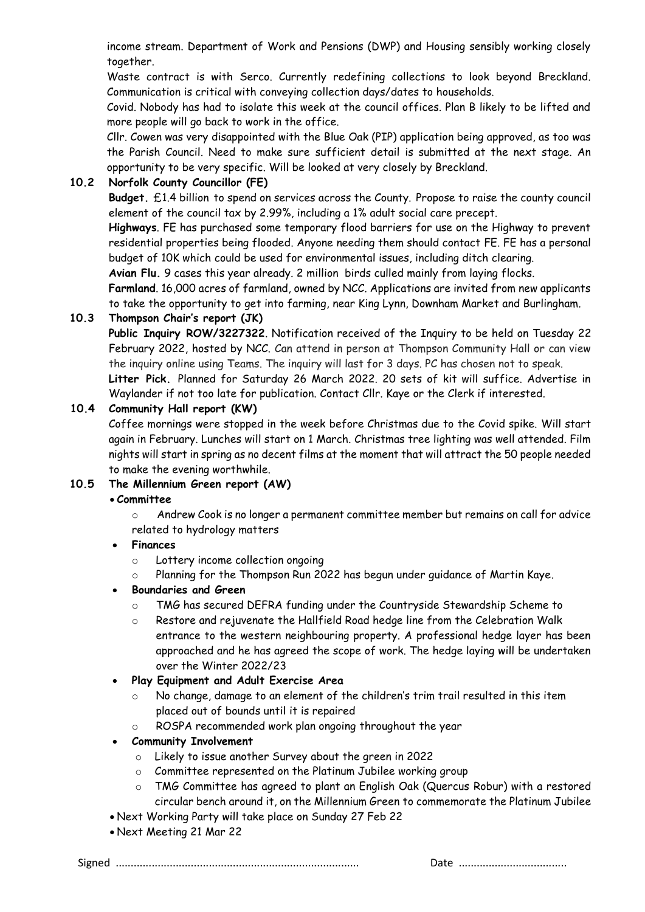income stream. Department of Work and Pensions (DWP) and Housing sensibly working closely together.

Waste contract is with Serco. Currently redefining collections to look beyond Breckland. Communication is critical with conveying collection days/dates to households.

Covid. Nobody has had to isolate this week at the council offices. Plan B likely to be lifted and more people will go back to work in the office.

Cllr. Cowen was very disappointed with the Blue Oak (PIP) application being approved, as too was the Parish Council. Need to make sure sufficient detail is submitted at the next stage. An opportunity to be very specific. Will be looked at very closely by Breckland.

## **10.2 Norfolk County Councillor (FE)**

**Budget.** £1.4 billion to spend on services across the County. Propose to raise the county council element of the council tax by 2.99%, including a 1% adult social care precept.

**Highways**. FE has purchased some temporary flood barriers for use on the Highway to prevent residential properties being flooded. Anyone needing them should contact FE. FE has a personal budget of 10K which could be used for environmental issues, including ditch clearing.

**Avian Flu.** 9 cases this year already. 2 million birds culled mainly from laying flocks.

**Farmland**. 16,000 acres of farmland, owned by NCC. Applications are invited from new applicants to take the opportunity to get into farming, near King Lynn, Downham Market and Burlingham.

## **10.3 Thompson Chair's report (JK)**

**Public Inquiry ROW/3227322**. Notification received of the Inquiry to be held on Tuesday 22 February 2022, hosted by NCC. Can attend in person at Thompson Community Hall or can view the inquiry online using Teams. The inquiry will last for 3 days. PC has chosen not to speak.

**Litter Pick.** Planned for Saturday 26 March 2022. 20 sets of kit will suffice. Advertise in Waylander if not too late for publication. Contact Cllr. Kaye or the Clerk if interested.

## **10.4 Community Hall report (KW)**

Coffee mornings were stopped in the week before Christmas due to the Covid spike. Will start again in February. Lunches will start on 1 March. Christmas tree lighting was well attended. Film nights will start in spring as no decent films at the moment that will attract the 50 people needed to make the evening worthwhile.

## **10.5 The Millennium Green report (AW)**

## • **Committee**

 $\circ$  Andrew Cook is no longer a permanent committee member but remains on call for advice related to hydrology matters

## • **Finances**

- o Lottery income collection ongoing
- o Planning for the Thompson Run 2022 has begun under guidance of Martin Kaye.

## • **Boundaries and Green**

- o TMG has secured DEFRA funding under the Countryside Stewardship Scheme to
- o Restore and rejuvenate the Hallfield Road hedge line from the Celebration Walk entrance to the western neighbouring property. A professional hedge layer has been approached and he has agreed the scope of work. The hedge laying will be undertaken over the Winter 2022/23

## • **Play Equipment and Adult Exercise Area**

- No change, damage to an element of the children's trim trail resulted in this item placed out of bounds until it is repaired
- o ROSPA recommended work plan ongoing throughout the year

## • **Community Involvement**

- o Likely to issue another Survey about the green in 2022
- o Committee represented on the Platinum Jubilee working group
- o TMG Committee has agreed to plant an English Oak (Quercus Robur) with a restored circular bench around it, on the Millennium Green to commemorate the Platinum Jubilee
- Next Working Party will take place on Sunday 27 Feb 22
- Next Meeting 21 Mar 22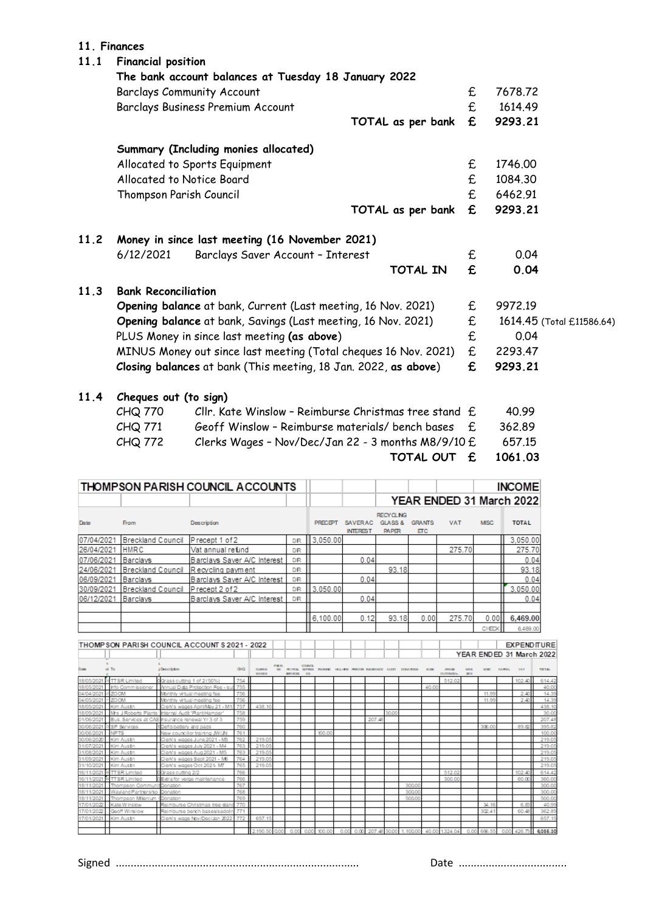#### **11. Finances**

## **11.1 Financial position The bank account balances at Tuesday 18 January 2022**  Barclays Community Account 6 and 5 and 5 and 5 and 5 and 5 and 5 and 6 and 6 and 6 and 6 and 6 and 6 and 6 and 6 and 6 and 6 and 6 and 6 and 6 and 6 and 6 and 6 and 6 and 6 and 6 and 6 and 6 and 6 and 6 and 6 and 6 and 6 a Barclays Business Premium Account **E** 1614.49 **TOTAL as per bank £ 9293.21 Summary (Including monies allocated)** Allocated to Sports Equipment 6 and 5 and 5 and 5 and 5 and 5 and 5 and 5 and 5 and 5 and 5 and 5 and 5 and 5 and 5 and 5 and 5 and 5 and 5 and 5 and 5 and 5 and 5 and 5 and 5 and 5 and 5 and 5 and 5 and 5 and 5 and 5 and Allocated to Notice Board **and the Contract Equation**  $\mathbf{F} = 1084.30$ Thompson Parish Council **E** 6462.91 **TOTAL as per bank £ 9293.21 11.2 Money in since last meeting (16 November 2021)** 6/12/2021 Barclays Saver Account – Interest £ 0.04 **TOTAL IN £ 0.04 11.3 Bank Reconciliation Opening balance** at bank, Current (Last meeting, 16 Nov. 2021)  $E = 9972.19$ **Opening balance** at bank, Savings (Last meeting, 16 Nov. 2021)  $E = 1614.45$  (Total £11586.64) PLUS Money in since last meeting **(as above**) £ 0.04 MINUS Money out since last meeting (Total cheques 16 Nov. 2021) £ 2293.47 **Closing balances** at bank (This meeting, 18 Jan. 2022, **as above**) **£ 9293.21 11.4 Cheques out (to sign)**  $CHQ 770$  Cllr. Kate Winslow - Reimburse Christmas tree stand  $E$  40.99 CHQ 771 Geoff Winslow – Reimburse materials/ bench bases £ 362.89  $CHQ 772$  Clerks Wages - Nov/Dec/Jan 22 - 3 months M8/9/10  $E$  657.15 **TOTAL OUT £ 1061.03**

|            | THOMPSON PARISH COUNCIL ACCOUNTS |                             |           |                |                                   |                                                        |                             | <b>INCOME</b> |             |                          |
|------------|----------------------------------|-----------------------------|-----------|----------------|-----------------------------------|--------------------------------------------------------|-----------------------------|---------------|-------------|--------------------------|
|            |                                  |                             |           |                |                                   |                                                        |                             |               |             | YEAR ENDED 31 March 2022 |
| Date       | <b>From</b>                      | Description                 |           | <b>PRECIPT</b> | <b>SAVERAC</b><br><b>INTEREST</b> | <b>RECYCLING</b><br><b>GLASS &amp;</b><br><b>PAPER</b> | <b>GRANTS</b><br><b>ETC</b> | <b>VAT</b>    | <b>MISC</b> | <b>TOTAL</b>             |
| 07/04/2021 | <b>Breckland Council</b>         | Precept 1 of 2              | DR        | 13.050.00      |                                   |                                                        |                             |               |             | 3,050.00                 |
| 26/04/2021 | <b>HMRC</b>                      | Vat annual refund           | <b>DR</b> |                |                                   |                                                        |                             | 275.70        |             | 275.70                   |
| 07/06/2021 | Barclavs                         | Barclays Saver A/C Interest | DR        |                | 0.04                              |                                                        |                             |               |             | 0.04                     |
| 24/06/2021 | Breckland Council                | Recycling payment           | DR        |                |                                   | 93.18                                                  |                             |               |             | 93.18                    |
| 06/09/2021 | Barclavs                         | Barclays Saver A/C Interest | DR        |                | 0.04                              |                                                        |                             |               |             | 0.04                     |
| 30/09/2021 | Breckland Council                | Precept 2 of 2              | DR        | 3.050.00       |                                   |                                                        |                             |               |             | 3,050.00                 |
| 06/12/2021 | Barclays                         | Barclays Saver A/C Interest | DR        |                | 0.04                              |                                                        |                             |               |             | 0.04                     |
|            |                                  |                             |           |                |                                   |                                                        |                             |               |             |                          |
|            |                                  |                             |           | 6.100.00       | 0.12                              | 93.18                                                  | 0.00                        | 275.70        | 0.00        | 6,469.00                 |
|            |                                  |                             |           |                |                                   |                                                        |                             |               | CHECK       | 6,469.00                 |

|             |                      | THOMP SON PARISH COUNCIL ACCOUNT \$ 2021 - 2022   |     |                                 |      |                                    |               |        |      |      |                                                      |       |          |         |                   |            |        |       |            | <b>EXPENDITURE</b>       |
|-------------|----------------------|---------------------------------------------------|-----|---------------------------------|------|------------------------------------|---------------|--------|------|------|------------------------------------------------------|-------|----------|---------|-------------------|------------|--------|-------|------------|--------------------------|
|             |                      |                                                   |     |                                 |      |                                    |               |        |      |      |                                                      |       |          |         |                   |            |        |       |            | YEAR ENDED 31 March 2022 |
| <b>Down</b> | ol To                | p Description                                     | 040 | <b>CLIPS X</b><br><b>BAAGER</b> |      | <b>PRAYROOL</b><br><b>NEW YORK</b> | <b>COUNCE</b> |        |      |      | EXPERISE TRAINING HALL-HER PERCEIPS INSURANCE ALCOTT |       | DOM/UDA  | 31, 101 | <b>CUTTINGEIN</b> | <b>NTE</b> | M DIET | CAMBA | <b>MAT</b> | <b>TO TAL</b>            |
| 18/05/202   | <b>STTSR Limited</b> | DGrass cutting 1 of 2 (50%)                       | 754 |                                 |      |                                    |               |        |      |      |                                                      |       |          |         | 512.02            |            |        |       | 102.40     | 614.42                   |
|             | Info Commissioner    | Annual Dista Protection Fee - sub                 | 755 |                                 |      |                                    |               |        |      |      |                                                      |       |          | 40.00   |                   |            |        |       |            | 40.00                    |
| 04/04/2021  | 1200M                | Monthly virtual meeting fee                       | 756 |                                 |      |                                    |               |        |      |      |                                                      |       |          |         |                   |            | 11.99  |       | 2.40       | 14.39                    |
| 04/05/2021  | 120CM                | Monthly virtual meeting fee                       | 756 |                                 |      |                                    |               |        |      |      |                                                      |       |          |         |                   |            | 11.99  |       | 2.40       | 14.39                    |
| 18/05/2021  | Kim Austn            | Clerk's wages April/May 21 - M1                   | 757 | 438.10                          |      |                                    |               |        |      |      |                                                      |       |          |         |                   |            |        |       |            | 438.10                   |
|             |                      | Mrs J Roberts Plants Internal Audit 'PlantHamper' | 758 |                                 |      |                                    |               |        |      |      |                                                      | 30.00 |          |         |                   |            |        |       |            | 30.00                    |
| 01/06/202   |                      | Bus, Services at CAS insurance renewal Yr 3 of 3  | 759 |                                 |      |                                    |               |        |      |      | 207.48                                               |       |          |         |                   |            |        |       |            | 207.48                   |
| 30/06/202   | SP Services          | Defib battery and pads                            | 760 |                                 |      |                                    |               |        |      |      |                                                      |       |          |         |                   |            | 306.00 |       | 89.82      | 395.82                   |
| 30/06/2021  | <b>NPTS</b>          | New councillor training JW/JN                     | 761 |                                 |      |                                    |               | 100.00 |      |      |                                                      |       |          |         |                   |            |        |       |            | 100.00                   |
| 30/06/2020  | Kim Austn            | Clerk's wages June 2021 - MB                      | 762 | 219.05                          |      |                                    |               |        |      |      |                                                      |       |          |         |                   |            |        |       |            | 219.05                   |
|             | Kim Austn            | Clerk's wages July 2021 - M4                      | 763 | 219.05                          |      |                                    |               |        |      |      |                                                      |       |          |         |                   |            |        |       |            | 219.05                   |
| 31/08/202   | Kim Austn            | Clerk's wages Aug 2021 - M5                       | 763 | 219.05                          |      |                                    |               |        |      |      |                                                      |       |          |         |                   |            |        |       |            | 219.05                   |
|             | Kim Austn            | Clerk's wages Sept 2021 - MB                      | 764 | 219.05                          |      |                                    |               |        |      |      |                                                      |       |          |         |                   |            |        |       |            | 219.05                   |
| 31/10/2021  | Kim Austn            | Clerk's wages Oct 2021-M7                         | 765 | 219.05                          |      |                                    |               |        |      |      |                                                      |       |          |         |                   |            |        |       |            | 219.05                   |
|             | If TTSR Limited      | Grass cutting 2/2                                 | 766 |                                 |      |                                    |               |        |      |      |                                                      |       |          |         | 512.02            |            |        |       | 102.40     | 614.42                   |
|             | <b>IFTSR Limited</b> | Extra for verge maintenance                       | 766 |                                 |      |                                    |               |        |      |      |                                                      |       |          |         | 300.00            |            |        |       | 60.00      | 360.00                   |
|             | Thompson Commun      | Donation                                          | 767 |                                 |      |                                    |               |        |      |      |                                                      |       | 3000     |         |                   |            |        |       |            | 300.00                   |
|             | Wayland Partnership  | Donation                                          | 768 |                                 |      |                                    |               |        |      |      |                                                      |       | 3000     |         |                   |            |        |       |            | 300.00                   |
|             | Thompson Milenium    | Donation                                          | 769 |                                 |      |                                    |               |        |      |      |                                                      |       | 500.0    |         |                   |            |        |       |            | 500.00                   |
|             | Kate Winslow         | Reimburse Christmas tree stand                    | 770 |                                 |      |                                    |               |        |      |      |                                                      |       |          |         |                   |            | 34.16  |       | 6.83       | 40.99                    |
|             | Gooff Winslow        | Reimburse berch bases/sadolin                     | 771 |                                 |      |                                    |               |        |      |      |                                                      |       |          |         |                   |            | 302.41 |       | 60.48      | 362.89                   |
| 17/01/2021  | Kim Austin           | Clerk's wage Nov/Dec/Jan 2022                     | 772 | 657.15                          |      |                                    |               |        |      |      |                                                      |       |          |         |                   |            |        |       |            | 657.15                   |
|             |                      |                                                   |     |                                 |      |                                    |               |        |      |      |                                                      |       |          |         |                   |            |        |       |            |                          |
|             |                      |                                                   |     | 2.190.50                        | 0.00 |                                    | 0.00          | 100.00 | 0.00 | 0.00 | 207.48 30.00                                         |       | 1,100.00 |         | 40.00 1324.04     | 0.00       | 666.55 |       |            | 0.00 426.73 6.085.30     |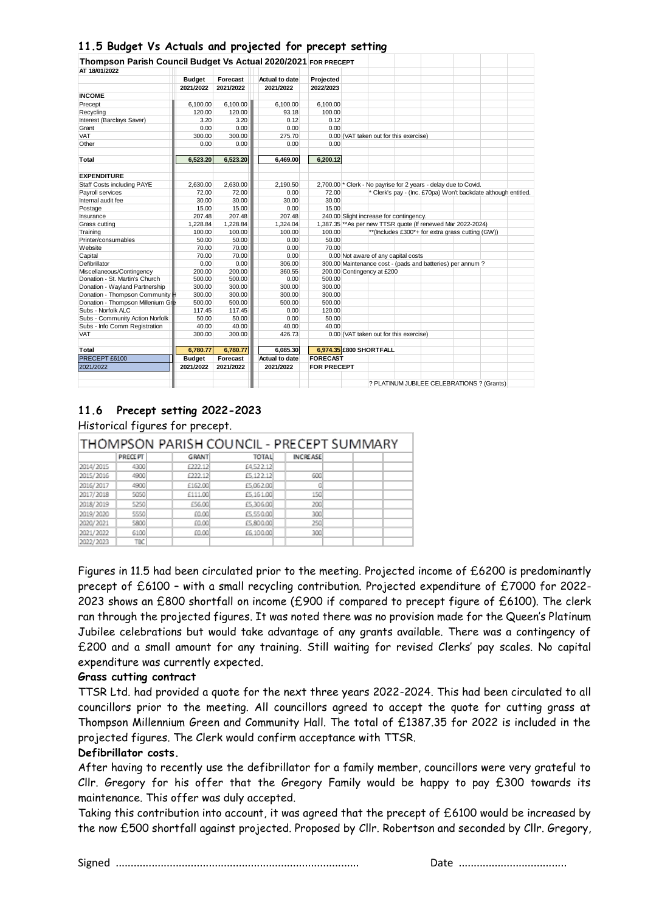## **11.5 Budget Vs Actuals and projected for precept setting**

| Thompson Parish Council Budget Vs Actual 2020/2021 FOR PRECEPT |               |           |                       |                                                              |                                                                 |  |  |  |                                                  |                                                                |  |
|----------------------------------------------------------------|---------------|-----------|-----------------------|--------------------------------------------------------------|-----------------------------------------------------------------|--|--|--|--------------------------------------------------|----------------------------------------------------------------|--|
| AT 18/01/2022                                                  |               |           |                       |                                                              |                                                                 |  |  |  |                                                  |                                                                |  |
|                                                                | <b>Budget</b> | Forecast  | <b>Actual to date</b> | Projected                                                    |                                                                 |  |  |  |                                                  |                                                                |  |
|                                                                | 2021/2022     | 2021/2022 | 2021/2022             | 2022/2023                                                    |                                                                 |  |  |  |                                                  |                                                                |  |
| <b>INCOME</b>                                                  |               |           |                       |                                                              |                                                                 |  |  |  |                                                  |                                                                |  |
| Precept                                                        | 6.100.00      | 6.100.00  | 6.100.00              | 6,100.00                                                     |                                                                 |  |  |  |                                                  |                                                                |  |
| Recycling                                                      | 120.00        | 120.00    | 93.18                 | 100.00                                                       |                                                                 |  |  |  |                                                  |                                                                |  |
| Interest (Barclays Saver)                                      | 3.20          | 3.20      | 0.12                  | 0.12                                                         |                                                                 |  |  |  |                                                  |                                                                |  |
| Grant                                                          | 0.00          | 0.00      | 0.00                  | 0.00                                                         |                                                                 |  |  |  |                                                  |                                                                |  |
| <b>VAT</b>                                                     | 300.00        | 300.00    | 275.70                |                                                              | 0.00 (VAT taken out for this exercise)                          |  |  |  |                                                  |                                                                |  |
| Other                                                          | 0.00          | 0.00      | 0.00                  | 0.00                                                         |                                                                 |  |  |  |                                                  |                                                                |  |
| Total                                                          | 6,523.20      | 6,523.20  | 6,469.00              | 6,200.12                                                     |                                                                 |  |  |  |                                                  |                                                                |  |
| <b>EXPENDITURE</b>                                             |               |           |                       |                                                              |                                                                 |  |  |  |                                                  |                                                                |  |
| Staff Costs including PAYE                                     | 2.630.00      | 2,630.00  | 2.190.50              |                                                              | 2,700.00 * Clerk - No payrise for 2 years - delay due to Covid. |  |  |  |                                                  |                                                                |  |
| Pavroll services                                               | 72.00         | 72.00     | 0.00                  | 72.00                                                        |                                                                 |  |  |  |                                                  | * Clerk's pay - (Inc. £70pa) Won't backdate although entitled. |  |
| Internal audit fee                                             | 30.00         | 30.00     | 30.00                 | 30.00                                                        |                                                                 |  |  |  |                                                  |                                                                |  |
| Postage                                                        | 15.00         | 15.00     | 0.00                  | 15.00                                                        |                                                                 |  |  |  |                                                  |                                                                |  |
| Insurance                                                      | 207.48        | 207.48    | 207.48                |                                                              | 240.00 Slight increase for contingency.                         |  |  |  |                                                  |                                                                |  |
| Grass cutting                                                  | 1,228.84      | 1,228.84  | 1,324.04              | 1,387.35 ** As per new TTSR quote (If renewed Mar 2022-2024) |                                                                 |  |  |  |                                                  |                                                                |  |
| Training                                                       | 100.00        | 100.00    | 100.00                | 100.00                                                       |                                                                 |  |  |  | **(Includes £300*+ for extra grass cutting (GW)) |                                                                |  |
| Printer/consumables                                            | 50.00         | 50.00     | 0.00                  | 50.00                                                        |                                                                 |  |  |  |                                                  |                                                                |  |
| Website                                                        | 70.00         | 70.00     | 0.00                  | 70.00                                                        |                                                                 |  |  |  |                                                  |                                                                |  |
| Capital                                                        | 70.00         | 70.00     | 0.00                  |                                                              | 0.00 Not aware of any capital costs                             |  |  |  |                                                  |                                                                |  |
| Defibrillator                                                  | 0.00          | 0.00      | 306.00                |                                                              | 300.00 Maintenance cost - (pads and batteries) per annum?       |  |  |  |                                                  |                                                                |  |
| Miscellaneous/Contingency                                      | 200.00        | 200.00    | 360.55                |                                                              | 200.00 Contingency at £200                                      |  |  |  |                                                  |                                                                |  |
| Donation - St. Martin's Church                                 | 500.00        | 500.00    | 0.00                  | 500.00                                                       |                                                                 |  |  |  |                                                  |                                                                |  |
| Donation - Wavland Partnership                                 | 300.00        | 300.00    | 300.00                | 300.00                                                       |                                                                 |  |  |  |                                                  |                                                                |  |
| Donation - Thompson Community H                                | 300.00        | 300.00    | 300.00                | 300.00                                                       |                                                                 |  |  |  |                                                  |                                                                |  |
| Donation - Thompson Millenium Gre                              | 500.00        | 500.00    | 500.00                | 500.00                                                       |                                                                 |  |  |  |                                                  |                                                                |  |
| Subs - Norfolk ALC                                             | 117.45        | 117.45    | 0.00                  | 120.00                                                       |                                                                 |  |  |  |                                                  |                                                                |  |
| Subs - Community Action Norfolk                                | 50.00         | 50.00     | 0.00                  | 50.00                                                        |                                                                 |  |  |  |                                                  |                                                                |  |
| Subs - Info Comm Registration                                  | 40.00         | 40.00     | 40.00                 | 40.00                                                        |                                                                 |  |  |  |                                                  |                                                                |  |
| VAT                                                            | 300.00        | 300.00    | 426.73                |                                                              | 0.00 (VAT taken out for this exercise)                          |  |  |  |                                                  |                                                                |  |
| Total                                                          | 6.780.77      | 6,780.77  | 6.085.30              |                                                              | 6,974.35 £800 SHORTFALL                                         |  |  |  |                                                  |                                                                |  |
| PRECEPT £6100                                                  | <b>Budget</b> | Forecast  | <b>Actual to date</b> | <b>FORECAST</b>                                              |                                                                 |  |  |  |                                                  |                                                                |  |
| 2021/2022                                                      | 2021/2022     | 2021/2022 | 2021/2022             | <b>FOR PRECEPT</b>                                           |                                                                 |  |  |  |                                                  |                                                                |  |
|                                                                |               |           |                       |                                                              |                                                                 |  |  |  |                                                  | ? PLATINUM JUBILEE CELEBRATIONS ? (Grants)                     |  |

## **11.6 Precept setting 2022-2023**

Historical figures for precept.

| THOMPSON PARISH COUNCIL - PRECEPT SUMMARY |                |              |              |                 |  |  |  |  |  |  |  |
|-------------------------------------------|----------------|--------------|--------------|-----------------|--|--|--|--|--|--|--|
|                                           | <b>PRECEPT</b> | <b>GRANT</b> | <b>TOTAL</b> | <b>INCREASE</b> |  |  |  |  |  |  |  |
| 2014/2015                                 | 4300           | £222.12      | £4,522.12    |                 |  |  |  |  |  |  |  |
| 2015/2016                                 | 4900           | £222.12      | £5.122.12    | 600             |  |  |  |  |  |  |  |
| 2016/2017                                 | 4900           | £162.00      | £5,062.00    | ٥               |  |  |  |  |  |  |  |
| 2017/2018                                 | 5050           | £111.00      | £5,161.00    | 150             |  |  |  |  |  |  |  |
| 2018/2019                                 | 5250           | £56.00       | £5,306.00    | 200             |  |  |  |  |  |  |  |
| 2019/2020                                 | 5550           | £0.00        | £5,550.00    | 300             |  |  |  |  |  |  |  |
| 2020/2021                                 | 5800           | £0.00        | £5,800.00    | 250             |  |  |  |  |  |  |  |
| 2021/2022                                 | 6100           | £0.00        | £6,100.00    | 300             |  |  |  |  |  |  |  |
| 2022/2023                                 | TBC            |              |              |                 |  |  |  |  |  |  |  |

Figures in 11.5 had been circulated prior to the meeting. Projected income of £6200 is predominantly precept of £6100 – with a small recycling contribution. Projected expenditure of £7000 for 2022- 2023 shows an £800 shortfall on income (£900 if compared to precept figure of £6100). The clerk ran through the projected figures. It was noted there was no provision made for the Queen's Platinum Jubilee celebrations but would take advantage of any grants available. There was a contingency of £200 and a small amount for any training. Still waiting for revised Clerks' pay scales. No capital expenditure was currently expected.

#### **Grass cutting contract**

TTSR Ltd. had provided a quote for the next three years 2022-2024. This had been circulated to all councillors prior to the meeting. All councillors agreed to accept the quote for cutting grass at Thompson Millennium Green and Community Hall. The total of £1387.35 for 2022 is included in the projected figures. The Clerk would confirm acceptance with TTSR.

#### **Defibrillator costs.**

After having to recently use the defibrillator for a family member, councillors were very grateful to Cllr. Gregory for his offer that the Gregory Family would be happy to pay £300 towards its maintenance. This offer was duly accepted.

Taking this contribution into account, it was agreed that the precept of £6100 would be increased by the now £500 shortfall against projected. Proposed by Cllr. Robertson and seconded by Cllr. Gregory,